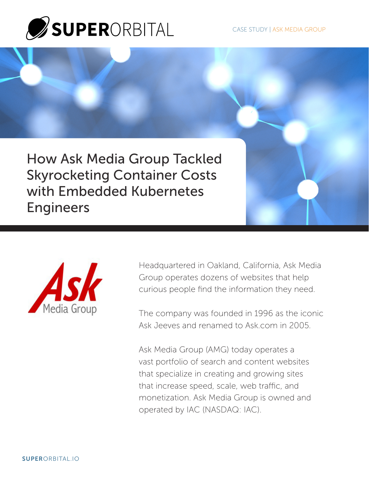

How Ask Media Group Tackled Skyrocketing Container Costs with Embedded Kubernetes Engineers



Headquartered in Oakland, California, Ask Media Group operates dozens of websites that help curious people find the information they need.

The company was founded in 1996 as the iconic Ask Jeeves and renamed to Ask.com in 2005.

Ask Media Group (AMG) today operates a vast portfolio of search and content websites that specialize in creating and growing sites that increase speed, scale, web traffic, and monetization. Ask Media Group is owned and operated by IAC (NASDAQ: IAC).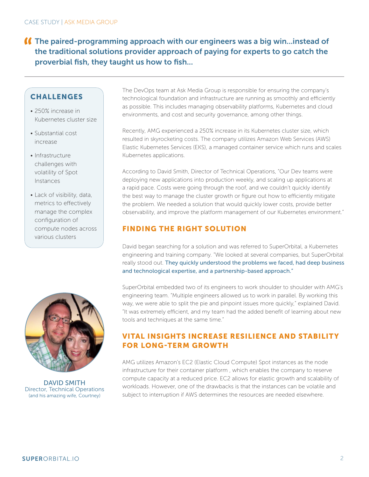# The paired-programming approach with our engineers was a big win...instead of the traditional solutions provider approach of paying for experts to go catch the proverbial fish, they taught us how to fish...

## **CHALLENGES**

- 250% increase in Kubernetes cluster size
- Substantial cost increase
- Infrastructure challenges with volatility of Spot Instances
- Lack of visibility, data, metrics to effectively manage the complex configuration of compute nodes across various clusters



DAVID SMITH Director, Technical Operations (and his amazing wife, Courtney)

The DevOps team at Ask Media Group is responsible for ensuring the company's technological foundation and infrastructure are running as smoothly and efficiently as possible. This includes managing observability platforms, Kubernetes and cloud environments, and cost and security governance, among other things.

Recently, AMG experienced a 250% increase in its Kubernetes cluster size, which resulted in skyrocketing costs. The company utilizes Amazon Web Services (AWS) Elastic Kubernetes Services (EKS), a managed container service which runs and scales Kubernetes applications.

According to David Smith, Director of Technical Operations, "Our Dev teams were deploying new applications into production weekly, and scaling up applications at a rapid pace. Costs were going through the roof, and we couldn't quickly identify the best way to manage the cluster growth or figure out how to efficiently mitigate the problem. We needed a solution that would quickly lower costs, provide better observability, and improve the platform management of our Kubernetes environment."

### FINDING THE RIGHT SOLUTION

David began searching for a solution and was referred to SuperOrbital, a Kubernetes engineering and training company. "We looked at several companies, but SuperOrbital really stood out. They quickly understood the problems we faced, had deep business and technological expertise, and a partnership-based approach."

SuperOrbital embedded two of its engineers to work shoulder to shoulder with AMG's engineering team. "Multiple engineers allowed us to work in parallel. By working this way, we were able to split the pie and pinpoint issues more quickly," explained David. "It was extremely efficient, and my team had the added benefit of learning about new tools and techniques at the same time."

### VITAL INSIGHTS INCREASE RESILIENCE AND STABILITY FOR LONG-TERM GROWTH

AMG utilizes Amazon's EC2 (Elastic Cloud Compute) Spot instances as the node infrastructure for their container platform , which enables the company to reserve compute capacity at a reduced price. EC2 allows for elastic growth and scalability of workloads. However, one of the drawbacks is that the instances can be volatile and subject to interruption if AWS determines the resources are needed elsewhere.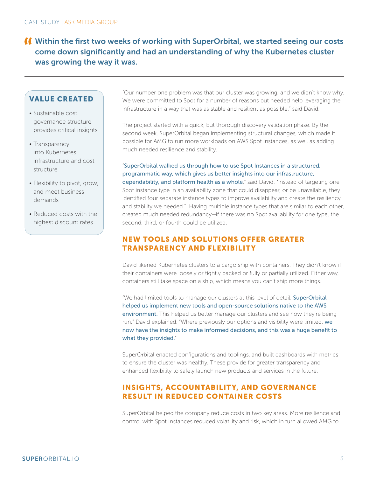# Within the first two weeks of working with SuperOrbital, we started seeing our costs come down significantly and had an understanding of why the Kubernetes cluster was growing the way it was.

## VALUE CREATED

- Sustainable cost governance structure provides critical insights
- Transparency into Kubernetes infrastructure and cost structure
- Flexibility to pivot, grow, and meet business demands
- Reduced costs with the highest discount rates

"Our number one problem was that our cluster was growing, and we didn't know why. We were committed to Spot for a number of reasons but needed help leveraging the infrastructure in a way that was as stable and resilient as possible," said David.

The project started with a quick, but thorough discovery validation phase. By the second week, SuperOrbital began implementing structural changes, which made it possible for AMG to run more workloads on AWS Spot Instances, as well as adding much needed resilience and stability.

"SuperOrbital walked us through how to use Spot Instances in a structured, programmatic way, which gives us better insights into our infrastructure, dependability, and platform health as a whole," said David. "Instead of targeting one Spot instance type in an availability zone that could disappear, or be unavailable, they identified four separate instance types to improve availability and create the resiliency and stability we needed." Having multiple instance types that are similar to each other, created much needed redundancy—if there was no Spot availability for one type, the second, third, or fourth could be utilized.

## NEW TOOLS AND SOLUTIONS OFFER GREATER TRANSPARENCY AND FLEXIBILITY

David likened Kubernetes clusters to a cargo ship with containers. They didn't know if their containers were loosely or tightly packed or fully or partially utilized. Either way, containers still take space on a ship, which means you can't ship more things.

"We had limited tools to manage our clusters at this level of detail. SuperOrbital helped us implement new tools and open-source solutions native to the AWS environment. This helped us better manage our clusters and see how they're being run," David explained. "Where previously our options and visibility were limited, we now have the insights to make informed decisions, and this was a huge benefit to what they provided."

SuperOrbital enacted configurations and toolings, and built dashboards with metrics to ensure the cluster was healthy. These provide for greater transparency and enhanced flexibility to safely launch new products and services in the future.

### INSIGHTS, ACCOUNTABILITY, AND GOVERNANCE RESULT IN REDUCED CONTAINER COSTS

SuperOrbital helped the company reduce costs in two key areas. More resilience and control with Spot Instances reduced volatility and risk, which in turn allowed AMG to